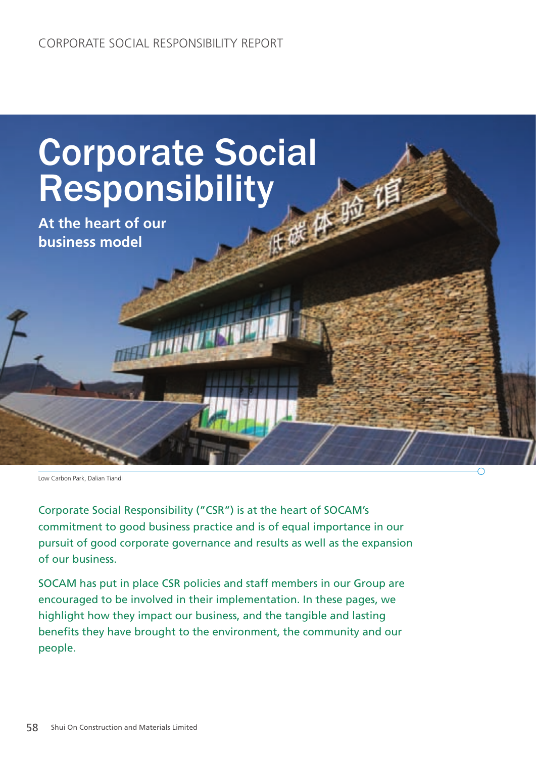

Corporate Social Responsibility ("CSR") is at the heart of SOCAM's commitment to good business practice and is of equal importance in our pursuit of good corporate governance and results as well as the expansion of our business.

SOCAM has put in place CSR policies and staff members in our Group are encouraged to be involved in their implementation. In these pages, we highlight how they impact our business, and the tangible and lasting benefits they have brought to the environment, the community and our people.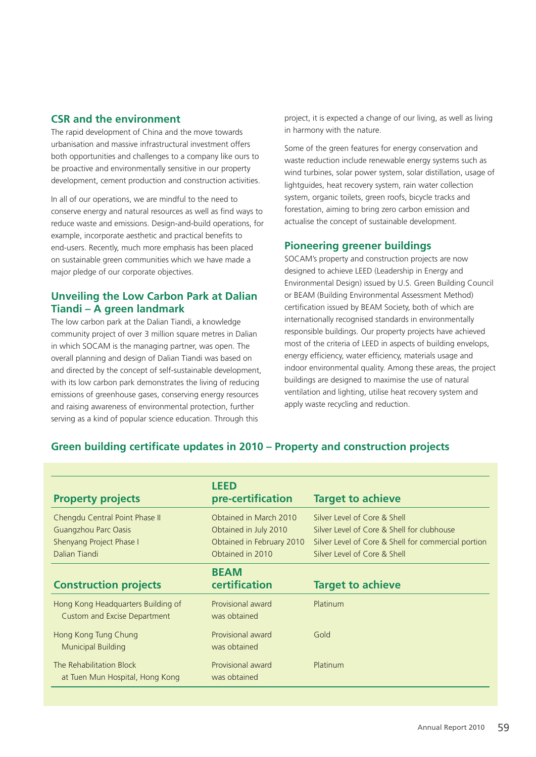#### **CSR and the environment**

The rapid development of China and the move towards urbanisation and massive infrastructural investment offers both opportunities and challenges to a company like ours to be proactive and environmentally sensitive in our property development, cement production and construction activities.

In all of our operations, we are mindful to the need to conserve energy and natural resources as well as find ways to reduce waste and emissions. Design-and-build operations, for example, incorporate aesthetic and practical benefits to end-users. Recently, much more emphasis has been placed on sustainable green communities which we have made a major pledge of our corporate objectives.

### **Unveiling the Low Carbon Park at Dalian Tiandi – A green landmark**

The low carbon park at the Dalian Tiandi, a knowledge community project of over 3 million square metres in Dalian in which SOCAM is the managing partner, was open. The overall planning and design of Dalian Tiandi was based on and directed by the concept of self-sustainable development, with its low carbon park demonstrates the living of reducing emissions of greenhouse gases, conserving energy resources and raising awareness of environmental protection, further serving as a kind of popular science education. Through this

project, it is expected a change of our living, as well as living in harmony with the nature.

Some of the green features for energy conservation and waste reduction include renewable energy systems such as wind turbines, solar power system, solar distillation, usage of lightguides, heat recovery system, rain water collection system, organic toilets, green roofs, bicycle tracks and forestation, aiming to bring zero carbon emission and actualise the concept of sustainable development.

#### **Pioneering greener buildings**

SOCAM's property and construction projects are now designed to achieve LEED (Leadership in Energy and Environmental Design) issued by U.S. Green Building Council or BEAM (Building Environmental Assessment Method) certification issued by BEAM Society, both of which are internationally recognised standards in environmentally responsible buildings. Our property projects have achieved most of the criteria of LEED in aspects of building envelops, energy efficiency, water efficiency, materials usage and indoor environmental quality. Among these areas, the project buildings are designed to maximise the use of natural ventilation and lighting, utilise heat recovery system and apply waste recycling and reduction.

|                                     | <b>LEED</b>               |                                                     |
|-------------------------------------|---------------------------|-----------------------------------------------------|
| <b>Property projects</b>            | pre-certification         | <b>Target to achieve</b>                            |
| Chengdu Central Point Phase II      | Obtained in March 2010    | Silver Level of Core & Shell                        |
| Guangzhou Parc Oasis                | Obtained in July 2010     | Silver Level of Core & Shell for clubhouse          |
| Shenyang Project Phase I            | Obtained in February 2010 | Silver Level of Core & Shell for commercial portion |
| Dalian Tiandi                       | Obtained in 2010          | Silver Level of Core & Shell                        |
|                                     | <b>BEAM</b>               |                                                     |
| <b>Construction projects</b>        | certification             | <b>Target to achieve</b>                            |
| Hong Kong Headquarters Building of  | Provisional award         | Platinum                                            |
| <b>Custom and Excise Department</b> | was obtained              |                                                     |
| Hong Kong Tung Chung                | Provisional award         | Gold                                                |
| <b>Municipal Building</b>           | was obtained              |                                                     |
| The Rehabilitation Block            | Provisional award         | Platinum                                            |
| at Tuen Mun Hospital, Hong Kong     | was obtained              |                                                     |

### **Green building certificate updates in 2010 – Property and construction projects**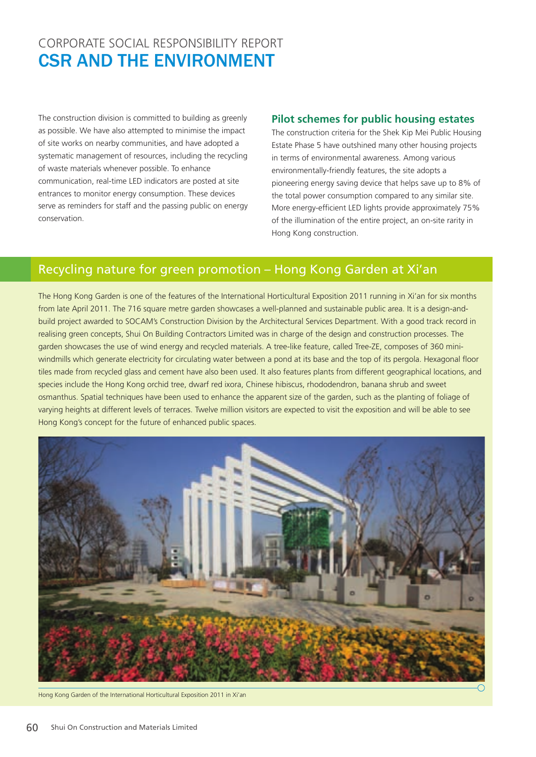## CORPORATE SOCIAL RESPONSIBILITY REPORT CSR AND THE ENVIRONMENT

The construction division is committed to building as greenly as possible. We have also attempted to minimise the impact of site works on nearby communities, and have adopted a systematic management of resources, including the recycling of waste materials whenever possible. To enhance communication, real-time LED indicators are posted at site entrances to monitor energy consumption. These devices serve as reminders for staff and the passing public on energy conservation.

## **Pilot schemes for public housing estates**

The construction criteria for the Shek Kip Mei Public Housing Estate Phase 5 have outshined many other housing projects in terms of environmental awareness. Among various environmentally-friendly features, the site adopts a pioneering energy saving device that helps save up to 8% of the total power consumption compared to any similar site. More energy-efficient LED lights provide approximately 75% of the illumination of the entire project, an on-site rarity in Hong Kong construction.

# Recycling nature for green promotion – Hong Kong Garden at Xi'an

The Hong Kong Garden is one of the features of the International Horticultural Exposition 2011 running in Xi'an for six months from late April 2011. The 716 square metre garden showcases a well-planned and sustainable public area. It is a design-andbuild project awarded to SOCAM's Construction Division by the Architectural Services Department. With a good track record in realising green concepts, Shui On Building Contractors Limited was in charge of the design and construction processes. The garden showcases the use of wind energy and recycled materials. A tree-like feature, called Tree-ZE, composes of 360 miniwindmills which generate electricity for circulating water between a pond at its base and the top of its pergola. Hexagonal floor tiles made from recycled glass and cement have also been used. It also features plants from different geographical locations, and species include the Hong Kong orchid tree, dwarf red ixora, Chinese hibiscus, rhododendron, banana shrub and sweet osmanthus. Spatial techniques have been used to enhance the apparent size of the garden, such as the planting of foliage of varying heights at different levels of terraces. Twelve million visitors are expected to visit the exposition and will be able to see Hong Kong's concept for the future of enhanced public spaces.



Hong Kong Garden of the International Horticultural Exposition 2011 in Xi'an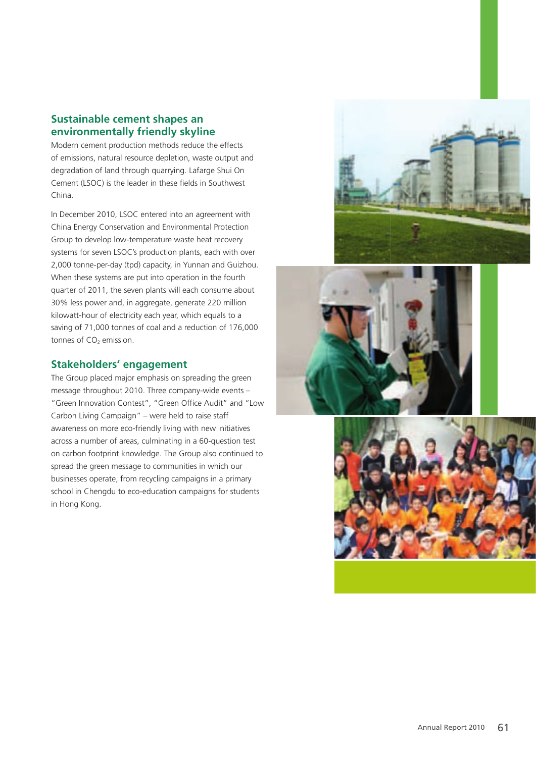## **Sustainable cement shapes an environmentally friendly skyline**

Modern cement production methods reduce the effects of emissions, natural resource depletion, waste output and degradation of land through quarrying. Lafarge Shui On Cement (LSOC) is the leader in these fields in Southwest China.

In December 2010, LSOC entered into an agreement with China Energy Conservation and Environmental Protection Group to develop low-temperature waste heat recovery systems for seven LSOC's production plants, each with over 2,000 tonne-per-day (tpd) capacity, in Yunnan and Guizhou. When these systems are put into operation in the fourth quarter of 2011, the seven plants will each consume about 30% less power and, in aggregate, generate 220 million kilowatt-hour of electricity each year, which equals to a saving of 71,000 tonnes of coal and a reduction of 176,000 tonnes of  $CO<sub>2</sub>$  emission.

### **Stakeholders' engagement**

The Group placed major emphasis on spreading the green message throughout 2010. Three company-wide events – "Green Innovation Contest", "Green Office Audit" and "Low Carbon Living Campaign" – were held to raise staff awareness on more eco-friendly living with new initiatives across a number of areas, culminating in a 60-question test on carbon footprint knowledge. The Group also continued to spread the green message to communities in which our businesses operate, from recycling campaigns in a primary school in Chengdu to eco-education campaigns for students in Hong Kong.





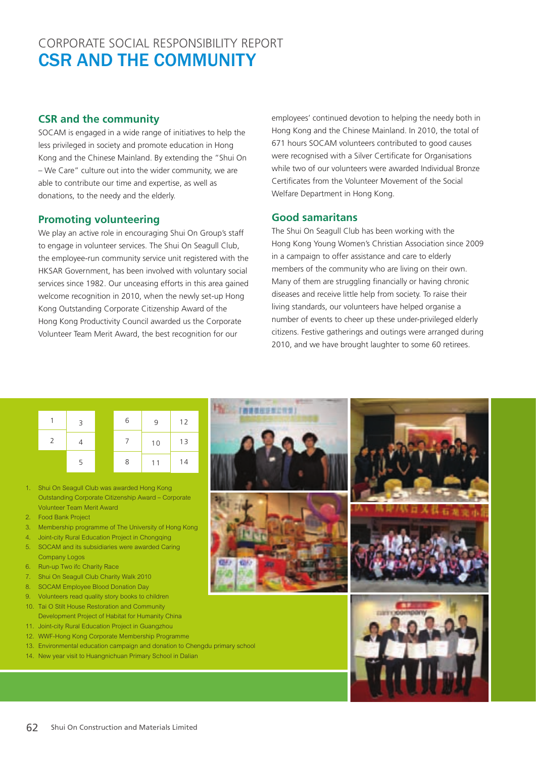## CORPORATE SOCIAL RESPONSIBILITY REPORT CSR AND THE COMMUNITY

## **CSR and the community**

SOCAM is engaged in a wide range of initiatives to help the less privileged in society and promote education in Hong Kong and the Chinese Mainland. By extending the "Shui On – We Care" culture out into the wider community, we are able to contribute our time and expertise, as well as donations, to the needy and the elderly.

### **Promoting volunteering**

We play an active role in encouraging Shui On Group's staff to engage in volunteer services. The Shui On Seagull Club, the employee-run community service unit registered with the HKSAR Government, has been involved with voluntary social services since 1982. Our unceasing efforts in this area gained welcome recognition in 2010, when the newly set-up Hong Kong Outstanding Corporate Citizenship Award of the Hong Kong Productivity Council awarded us the Corporate Volunteer Team Merit Award, the best recognition for our

employees' continued devotion to helping the needy both in Hong Kong and the Chinese Mainland. In 2010, the total of 671 hours SOCAM volunteers contributed to good causes were recognised with a Silver Certificate for Organisations while two of our volunteers were awarded Individual Bronze Certificates from the Volunteer Movement of the Social Welfare Department in Hong Kong.

#### **Good samaritans**

The Shui On Seagull Club has been working with the Hong Kong Young Women's Christian Association since 2009 in a campaign to offer assistance and care to elderly members of the community who are living on their own. Many of them are struggling financially or having chronic diseases and receive little help from society. To raise their living standards, our volunteers have helped organise a number of events to cheer up these under-privileged elderly citizens. Festive gatherings and outings were arranged during 2010, and we have brought laughter to some 60 retirees.

|               | $\overline{3}$ | 6 | 9  | 12 |
|---------------|----------------|---|----|----|
| $\mathcal{P}$ |                |   | 10 | 13 |
|               | 5              | 8 | 11 | 14 |

- 1. Shui On Seagull Club was awarded Hong Kong Outstanding Corporate Citizenship Award – Corporate Volunteer Team Merit Award
- 2. Food Bank Project
- 3. Membership programme of The University of Hong Kong
- 4. Joint-city Rural Education Project in Chongqing
- 5. SOCAM and its subsidiaries were awarded Caring Company Logos
- 6. Run-up Two ifc Charity Race
- 7. Shui On Seagull Club Charity Walk 2010
- 8. SOCAM Employee Blood Donation Day
- 9. Volunteers read quality story books to children 10. Tai O Stilt House Restoration and Community Development Project of Habitat for Humanity China
- 11. Joint-city Rural Education Project in Guangzhou
- 12. WWF-Hong Kong Corporate Membership Programme
- 13. Environmental education campaign and donation to Chengdu primary school
- 14. New year visit to Huangnichuan Primary School in Dalian

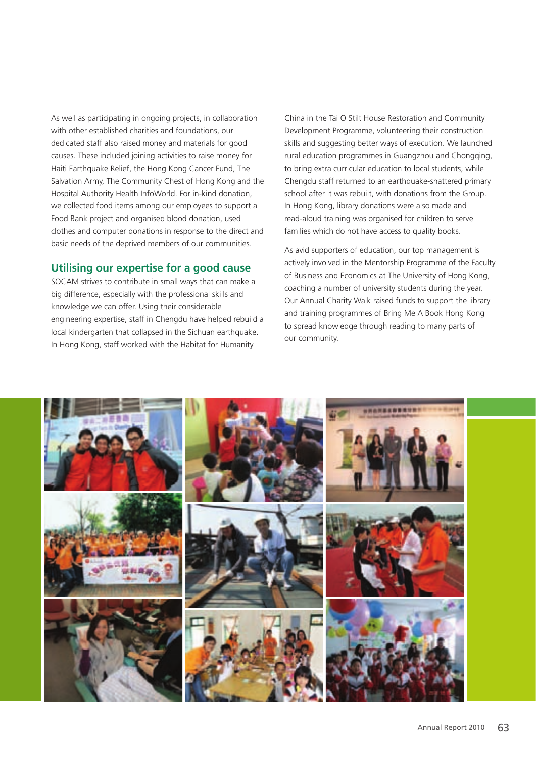As well as participating in ongoing projects, in collaboration with other established charities and foundations, our dedicated staff also raised money and materials for good causes. These included joining activities to raise money for Haiti Earthquake Relief, the Hong Kong Cancer Fund, The Salvation Army, The Community Chest of Hong Kong and the Hospital Authority Health InfoWorld. For in-kind donation, we collected food items among our employees to support a Food Bank project and organised blood donation, used clothes and computer donations in response to the direct and basic needs of the deprived members of our communities.

#### **Utilising our expertise for a good cause**

SOCAM strives to contribute in small ways that can make a big difference, especially with the professional skills and knowledge we can offer. Using their considerable engineering expertise, staff in Chengdu have helped rebuild a local kindergarten that collapsed in the Sichuan earthquake. In Hong Kong, staff worked with the Habitat for Humanity

China in the Tai O Stilt House Restoration and Community Development Programme, volunteering their construction skills and suggesting better ways of execution. We launched rural education programmes in Guangzhou and Chongqing, to bring extra curricular education to local students, while Chengdu staff returned to an earthquake-shattered primary school after it was rebuilt, with donations from the Group. In Hong Kong, library donations were also made and read-aloud training was organised for children to serve families which do not have access to quality books.

As avid supporters of education, our top management is actively involved in the Mentorship Programme of the Faculty of Business and Economics at The University of Hong Kong, coaching a number of university students during the year. Our Annual Charity Walk raised funds to support the library and training programmes of Bring Me A Book Hong Kong to spread knowledge through reading to many parts of our community.

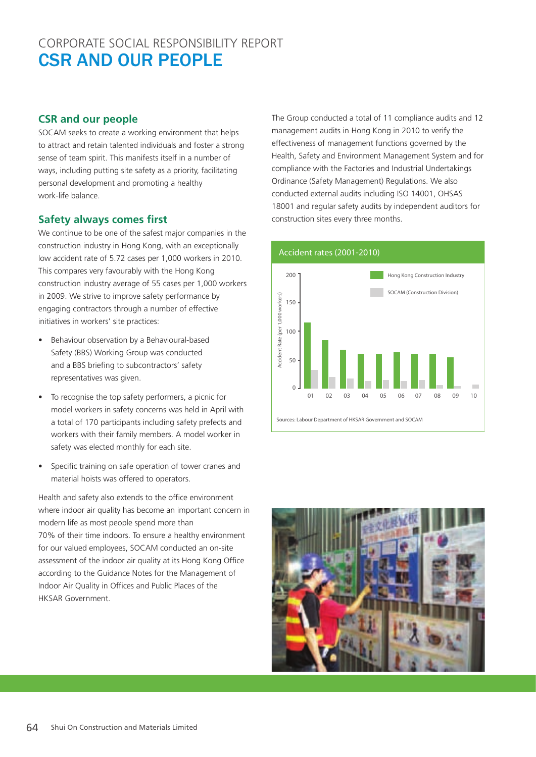## CORPORATE SOCIAL RESPONSIBILITY REPORT CSR AND OUR PEOPLE

## **CSR and our people**

SOCAM seeks to create a working environment that helps to attract and retain talented individuals and foster a strong sense of team spirit. This manifests itself in a number of ways, including putting site safety as a priority, facilitating personal development and promoting a healthy work-life balance.

### **Safety always comes first**

We continue to be one of the safest major companies in the construction industry in Hong Kong, with an exceptionally low accident rate of 5.72 cases per 1,000 workers in 2010. This compares very favourably with the Hong Kong construction industry average of 55 cases per 1,000 workers in 2009. We strive to improve safety performance by engaging contractors through a number of effective initiatives in workers' site practices:

- Behaviour observation by a Behavioural-based Safety (BBS) Working Group was conducted and a BBS briefing to subcontractors' safety representatives was given.
- To recognise the top safety performers, a picnic for model workers in safety concerns was held in April with a total of 170 participants including safety prefects and workers with their family members. A model worker in safety was elected monthly for each site.
- Specific training on safe operation of tower cranes and material hoists was offered to operators.

Health and safety also extends to the office environment where indoor air quality has become an important concern in modern life as most people spend more than 70% of their time indoors. To ensure a healthy environment for our valued employees, SOCAM conducted an on-site assessment of the indoor air quality at its Hong Kong Office according to the Guidance Notes for the Management of Indoor Air Quality in Offices and Public Places of the HKSAR Government.

The Group conducted a total of 11 compliance audits and 12 management audits in Hong Kong in 2010 to verify the effectiveness of management functions governed by the Health, Safety and Environment Management System and for compliance with the Factories and Industrial Undertakings Ordinance (Safety Management) Regulations. We also conducted external audits including ISO 14001, OHSAS 18001 and regular safety audits by independent auditors for construction sites every three months.

#### Accident rates (2001-2010)